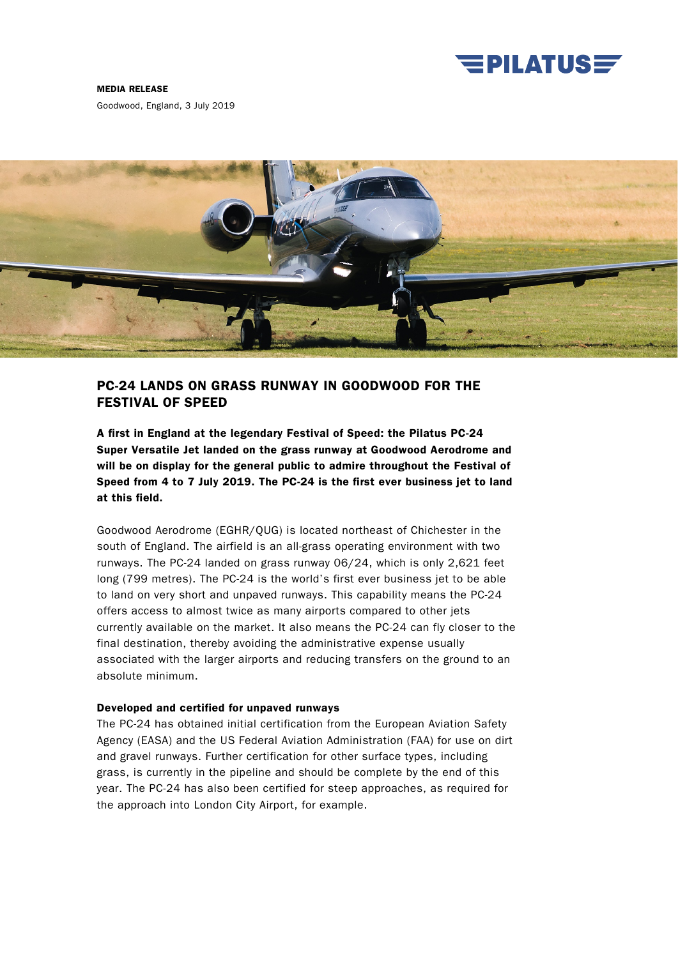

#### MEDIA RELEASE

Goodwood, England, 3 July 2019



# PC-24 LANDS ON GRASS RUNWAY IN GOODWOOD FOR THE FESTIVAL OF SPEED

A first in England at the legendary Festival of Speed: the Pilatus PC-24 Super Versatile Jet landed on the grass runway at Goodwood Aerodrome and will be on display for the general public to admire throughout the Festival of Speed from 4 to 7 July 2019. The PC-24 is the first ever business jet to land at this field.

Goodwood Aerodrome (EGHR/QUG) is located northeast of Chichester in the south of England. The airfield is an all-grass operating environment with two runways. The PC-24 landed on grass runway 06/24, which is only 2,621 feet long (799 metres). The PC-24 is the world's first ever business jet to be able to land on very short and unpaved runways. This capability means the PC-24 offers access to almost twice as many airports compared to other jets currently available on the market. It also means the PC-24 can fly closer to the final destination, thereby avoiding the administrative expense usually associated with the larger airports and reducing transfers on the ground to an absolute minimum.

# Developed and certified for unpaved runways

The PC-24 has obtained initial certification from the European Aviation Safety Agency (EASA) and the US Federal Aviation Administration (FAA) for use on dirt and gravel runways. Further certification for other surface types, including grass, is currently in the pipeline and should be complete by the end of this year. The PC-24 has also been certified for steep approaches, as required for the approach into London City Airport, for example.